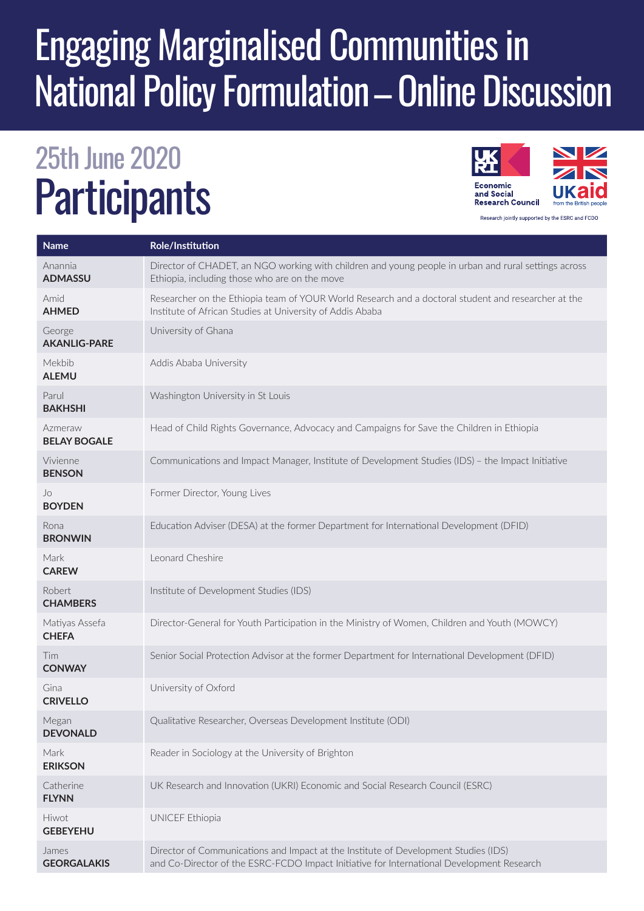## Engaging Marginalised Communities in National Policy Formulation – Online Discussion

## 25th June 2020 **Participants**



**Name Role/Institution** Anannia **ADMASSU** Director of CHADET, an NGO working with children and young people in urban and rural settings across Ethiopia, including those who are on the move Amid **AHMED** Researcher on the Ethiopia team of YOUR World Research and a doctoral student and researcher at the Institute of African Studies at University of Addis Ababa George **AKANLIG-PARE** University of Ghana Mekbib **ALEMU** Addis Ababa University Parul **BAKHSHI** Washington University in St Louis Azmeraw **BELAY BOGALE** Head of Child Rights Governance, Advocacy and Campaigns for Save the Children in Ethiopia Vivienne **BENSON** Communications and Impact Manager, Institute of Development Studies (IDS) – the Impact Initiative  $\overline{a}$ **BOYDEN** Former Director, Young Lives Rona **BRONWIN**  Education Adviser (DESA) at the former Department for International Development (DFID) Mark **CAREW** Leonard Cheshire Robert **CHAMBERS** Institute of Development Studies (IDS) Matiyas Assefa **CHEFA**  Director-General for Youth Participation in the Ministry of Women, Children and Youth (MOWCY) Tim **CONWAY** Senior Social Protection Advisor at the former Department for International Development (DFID) Gina **CRIVELLO** University of Oxford Megan **DEVONALD** Qualitative Researcher, Overseas Development Institute (ODI) Mark **ERIKSON** Reader in Sociology at the University of Brighton **Catherine FLYNN** UK Research and Innovation (UKRI) Economic and Social Research Council (ESRC) Hiwot **GEBEYEHU** UNICEF Ethiopia James **GEORGALAKIS** Director of Communications and Impact at the Institute of Development Studies (IDS) and Co-Director of the ESRC-FCDO Impact Initiative for International Development Research